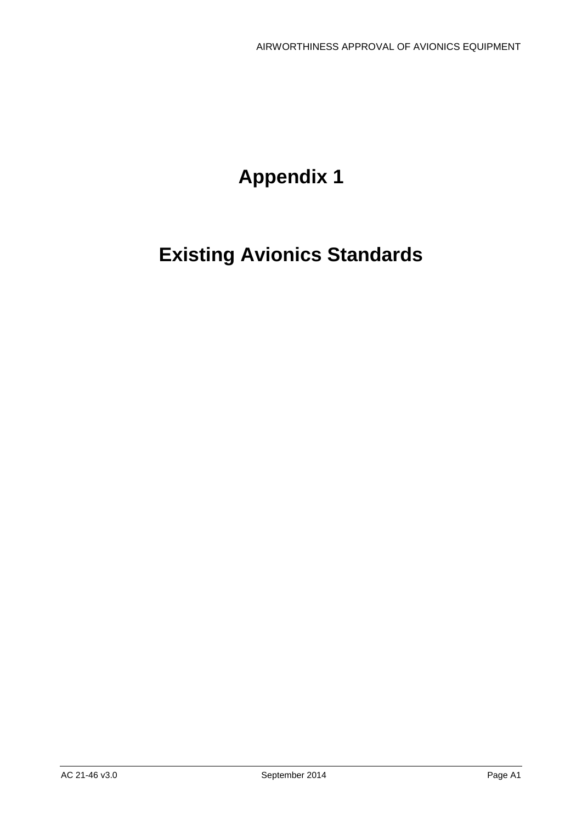# **Appendix 1**

# **Existing Avionics Standards**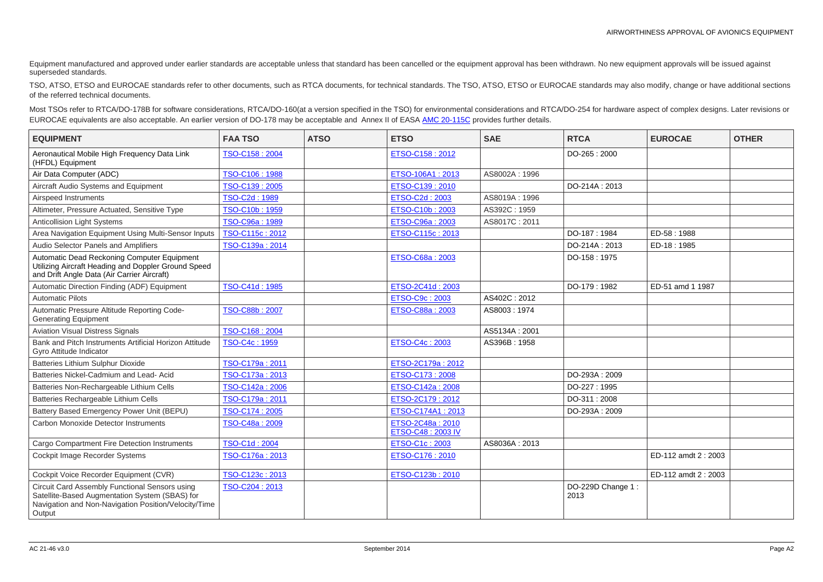Equipment manufactured and approved under earlier standards are acceptable unless that standard has been cancelled or the equipment approval has been withdrawn. No new equipment approvals will be issued against superseded standards.

TSO, ATSO, ETSO and EUROCAE standards refer to other documents, such as RTCA documents, for technical standards. The TSO, ATSO, ETSO or EUROCAE standards may also modify, change or have additional sections of the referred technical documents.

Most TSOs refer to RTCA/DO-178B for software considerations, RTCA/DO-160(at a version specified in the TSO) for environmental considerations and RTCA/DO-254 for hardware aspect of complex designs. Later revisions or EUROCAE equivalents are also acceptable. An earlier version of DO-178 may be acceptable and Annex II of EASA [AMC 20-115C](http://easa.europa.eu/document-library/agency-decisions/ed-decision-2013026r) provides further details.

| <b>EQUIPMENT</b>                                                                                                                                                          | <b>FAA TSO</b>  | <b>ATSO</b> | <b>ETSO</b>                           | <b>SAE</b>    | <b>RTCA</b>               | <b>EUROCAE</b>       | <b>OTHER</b> |
|---------------------------------------------------------------------------------------------------------------------------------------------------------------------------|-----------------|-------------|---------------------------------------|---------------|---------------------------|----------------------|--------------|
| Aeronautical Mobile High Frequency Data Link<br>(HFDL) Equipment                                                                                                          | TSO-C158: 2004  |             | ETSO-C158: 2012                       |               | DO-265:2000               |                      |              |
| Air Data Computer (ADC)                                                                                                                                                   | TSO-C106: 1988  |             | ETSO-106A1: 2013                      | AS8002A: 1996 |                           |                      |              |
| Aircraft Audio Systems and Equipment                                                                                                                                      | TSO-C139: 2005  |             | ETSO-C139: 2010                       |               | DO-214A: 2013             |                      |              |
| Airspeed Instruments                                                                                                                                                      | TSO-C2d: 1989   |             | ETSO-C2d: 2003                        | AS8019A: 1996 |                           |                      |              |
| Altimeter, Pressure Actuated, Sensitive Type                                                                                                                              | TSO-C10b: 1959  |             | ETSO-C10b: 2003                       | AS392C: 1959  |                           |                      |              |
| Anticollision Light Systems                                                                                                                                               | TSO-C96a: 1989  |             | ETSO-C96a: 2003                       | AS8017C: 2011 |                           |                      |              |
| Area Navigation Equipment Using Multi-Sensor Inputs                                                                                                                       | TSO-C115c: 2012 |             | ETSO-C115c: 2013                      |               | DO-187: 1984              | ED-58:1988           |              |
| Audio Selector Panels and Amplifiers                                                                                                                                      | TSO-C139a: 2014 |             |                                       |               | DO-214A: 2013             | ED-18:1985           |              |
| Automatic Dead Reckoning Computer Equipment<br>Utilizing Aircraft Heading and Doppler Ground Speed<br>and Drift Angle Data (Air Carrier Aircraft)                         |                 |             | ETSO-C68a: 2003                       |               | DO-158: 1975              |                      |              |
| Automatic Direction Finding (ADF) Equipment                                                                                                                               | TSO-C41d: 1985  |             | ETSO-2C41d: 2003                      |               | DO-179:1982               | ED-51 amd 1 1987     |              |
| <b>Automatic Pilots</b>                                                                                                                                                   |                 |             | ETSO-C9c: 2003                        | AS402C: 2012  |                           |                      |              |
| Automatic Pressure Altitude Reporting Code-<br><b>Generating Equipment</b>                                                                                                | TSO-C88b: 2007  |             | ETSO-C88a: 2003                       | AS8003:1974   |                           |                      |              |
| <b>Aviation Visual Distress Signals</b>                                                                                                                                   | TSO-C168: 2004  |             |                                       | AS5134A: 2001 |                           |                      |              |
| Bank and Pitch Instruments Artificial Horizon Attitude<br>Gyro Attitude Indicator                                                                                         | TSO-C4c: 1959   |             | ETSO-C4c: 2003                        | AS396B: 1958  |                           |                      |              |
| <b>Batteries Lithium Sulphur Dioxide</b>                                                                                                                                  | TSO-C179a: 2011 |             | ETSO-2C179a: 2012                     |               |                           |                      |              |
| Batteries Nickel-Cadmium and Lead- Acid                                                                                                                                   | TSO-C173a: 2013 |             | ETSO-C173: 2008                       |               | DO-293A: 2009             |                      |              |
| Batteries Non-Rechargeable Lithium Cells                                                                                                                                  | TSO-C142a: 2006 |             | ETSO-C142a: 2008                      |               | DO-227: 1995              |                      |              |
| Batteries Rechargeable Lithium Cells                                                                                                                                      | TSO-C179a: 2011 |             | ETSO-2C179: 2012                      |               | DO-311:2008               |                      |              |
| Battery Based Emergency Power Unit (BEPU)                                                                                                                                 | TSO-C174: 2005  |             | ETSO-C174A1: 2013                     |               | DO-293A: 2009             |                      |              |
| <b>Carbon Monoxide Detector Instruments</b>                                                                                                                               | TSO-C48a: 2009  |             | ETSO-2C48a: 2010<br>ETSO-C48: 2003 IV |               |                           |                      |              |
| <b>Cargo Compartment Fire Detection Instruments</b>                                                                                                                       | TSO-C1d: 2004   |             | ETSO-C1c: 2003                        | AS8036A: 2013 |                           |                      |              |
| Cockpit Image Recorder Systems                                                                                                                                            | TSO-C176a: 2013 |             | ETSO-C176 : 2010                      |               |                           | ED-112 amdt 2 : 2003 |              |
| Cockpit Voice Recorder Equipment (CVR)                                                                                                                                    | TSO-C123c: 2013 |             | ETSO-C123b: 2010                      |               |                           | ED-112 amdt 2 : 2003 |              |
| <b>Circuit Card Assembly Functional Sensors using</b><br>Satellite-Based Augmentation System (SBAS) for<br>Navigation and Non-Navigation Position/Velocity/Time<br>Output | TSO-C204: 2013  |             |                                       |               | DO-229D Change 1:<br>2013 |                      |              |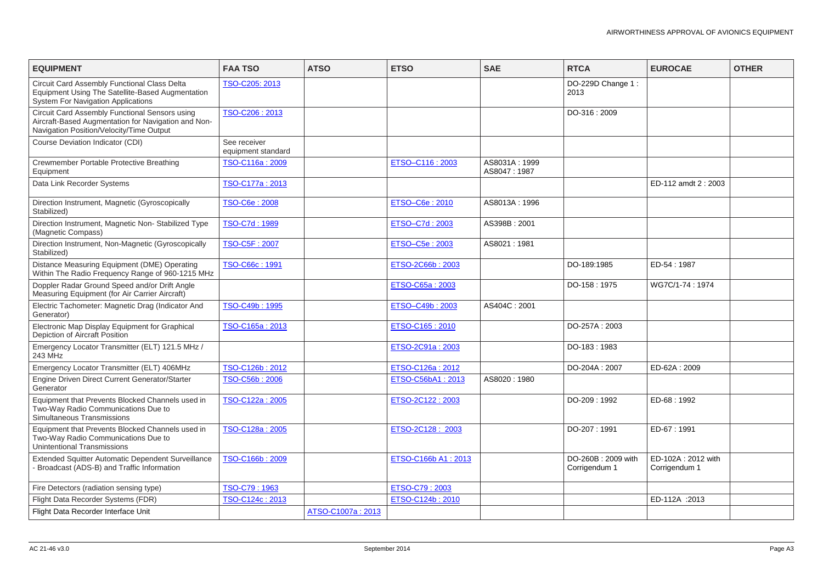| <b>EQUIPMENT</b>                                                                                                                                     | <b>FAA TSO</b>                     | <b>ATSO</b>       | <b>ETSO</b>         | <b>SAE</b>                   | <b>RTCA</b>                         | <b>EUROCAE</b>                      | <b>OTHER</b> |
|------------------------------------------------------------------------------------------------------------------------------------------------------|------------------------------------|-------------------|---------------------|------------------------------|-------------------------------------|-------------------------------------|--------------|
| <b>Circuit Card Assembly Functional Class Delta</b><br>Equipment Using The Satellite-Based Augmentation<br><b>System For Navigation Applications</b> | TSO-C205: 2013                     |                   |                     |                              | DO-229D Change 1:<br>2013           |                                     |              |
| Circuit Card Assembly Functional Sensors using<br>Aircraft-Based Augmentation for Navigation and Non-<br>Navigation Position/Velocity/Time Output    | TSO-C206: 2013                     |                   |                     |                              | DO-316:2009                         |                                     |              |
| <b>Course Deviation Indicator (CDI)</b>                                                                                                              | See receiver<br>equipment standard |                   |                     |                              |                                     |                                     |              |
| Crewmember Portable Protective Breathing<br>Equipment                                                                                                | TSO-C116a: 2009                    |                   | ETSO-C116: 2003     | AS8031A: 1999<br>AS8047:1987 |                                     |                                     |              |
| Data Link Recorder Systems                                                                                                                           | TSO-C177a: 2013                    |                   |                     |                              |                                     | ED-112 amdt 2: 2003                 |              |
| Direction Instrument, Magnetic (Gyroscopically<br>Stabilized)                                                                                        | TSO-C6e: 2008                      |                   | ETSO-C6e: 2010      | AS8013A: 1996                |                                     |                                     |              |
| Direction Instrument, Magnetic Non-Stabilized Type<br>(Magnetic Compass)                                                                             | TSO-C7d: 1989                      |                   | ETSO-C7d: 2003      | AS398B: 2001                 |                                     |                                     |              |
| Direction Instrument, Non-Magnetic (Gyroscopically<br>Stabilized)                                                                                    | TSO-C5F: 2007                      |                   | ETSO-C5e: 2003      | AS8021:1981                  |                                     |                                     |              |
| Distance Measuring Equipment (DME) Operating<br>Within The Radio Frequency Range of 960-1215 MHz                                                     | TSO-C66c: 1991                     |                   | ETSO-2C66b: 2003    |                              | DO-189:1985                         | ED-54:1987                          |              |
| Doppler Radar Ground Speed and/or Drift Angle<br>Measuring Equipment (for Air Carrier Aircraft)                                                      |                                    |                   | ETSO-C65a: 2003     |                              | DO-158: 1975                        | WG7C/1-74: 1974                     |              |
| Electric Tachometer: Magnetic Drag (Indicator And<br>Generator)                                                                                      | TSO-C49b: 1995                     |                   | ETSO-C49b: 2003     | AS404C: 2001                 |                                     |                                     |              |
| Electronic Map Display Equipment for Graphical<br><b>Depiction of Aircraft Position</b>                                                              | TSO-C165a: 2013                    |                   | ETSO-C165: 2010     |                              | DO-257A: 2003                       |                                     |              |
| Emergency Locator Transmitter (ELT) 121.5 MHz /<br>243 MHz                                                                                           |                                    |                   | ETSO-2C91a: 2003    |                              | DO-183: 1983                        |                                     |              |
| Emergency Locator Transmitter (ELT) 406MHz                                                                                                           | TSO-C126b: 2012                    |                   | ETSO-C126a : 2012   |                              | DO-204A: 2007                       | ED-62A: 2009                        |              |
| Engine Driven Direct Current Generator/Starter<br>Generator                                                                                          | TSO-C56b: 2006                     |                   | ETSO-C56bA1: 2013   | AS8020:1980                  |                                     |                                     |              |
| Equipment that Prevents Blocked Channels used in<br>Two-Way Radio Communications Due to<br><b>Simultaneous Transmissions</b>                         | TSO-C122a: 2005                    |                   | ETSO-2C122: 2003    |                              | DO-209: 1992                        | ED-68:1992                          |              |
| Equipment that Prevents Blocked Channels used in<br>Two-Way Radio Communications Due to<br><b>Unintentional Transmissions</b>                        | TSO-C128a: 2005                    |                   | ETSO-2C128: 2003    |                              | DO-207:1991                         | ED-67:1991                          |              |
| Extended Squitter Automatic Dependent Surveillance<br>- Broadcast (ADS-B) and Traffic Information                                                    | TSO-C166b: 2009                    |                   | ETSO-C166b A1: 2013 |                              | DO-260B: 2009 with<br>Corrigendum 1 | ED-102A: 2012 with<br>Corrigendum 1 |              |
| Fire Detectors (radiation sensing type)                                                                                                              | TSO-C79: 1963                      |                   | ETSO-C79: 2003      |                              |                                     |                                     |              |
| Flight Data Recorder Systems (FDR)                                                                                                                   | TSO-C124c: 2013                    |                   | ETSO-C124b: 2010    |                              |                                     | ED-112A :2013                       |              |
| Flight Data Recorder Interface Unit                                                                                                                  |                                    | ATSO-C1007a: 2013 |                     |                              |                                     |                                     |              |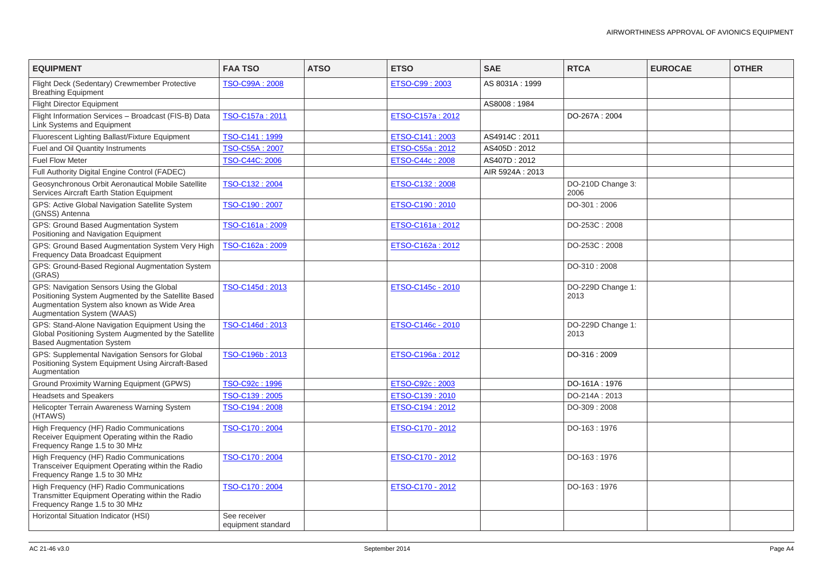| <b>EQUIPMENT</b>                                                                                                                                                                    | <b>FAA TSO</b>                     | <b>ATSO</b> | <b>ETSO</b>       | <b>SAE</b>       | <b>RTCA</b>               | <b>EUROCAE</b> | <b>OTHER</b> |
|-------------------------------------------------------------------------------------------------------------------------------------------------------------------------------------|------------------------------------|-------------|-------------------|------------------|---------------------------|----------------|--------------|
| Flight Deck (Sedentary) Crewmember Protective<br><b>Breathing Equipment</b>                                                                                                         | TSO-C99A: 2008                     |             | ETSO-C99: 2003    | AS 8031A: 1999   |                           |                |              |
| <b>Flight Director Equipment</b>                                                                                                                                                    |                                    |             |                   | AS8008:1984      |                           |                |              |
| Flight Information Services - Broadcast (FIS-B) Data<br>Link Systems and Equipment                                                                                                  | TSO-C157a: 2011                    |             | ETSO-C157a: 2012  |                  | DO-267A: 2004             |                |              |
| Fluorescent Lighting Ballast/Fixture Equipment                                                                                                                                      | TSO-C141: 1999                     |             | ETSO-C141: 2003   | AS4914C: 2011    |                           |                |              |
| Fuel and Oil Quantity Instruments                                                                                                                                                   | TSO-C55A: 2007                     |             | ETSO-C55a: 2012   | AS405D: 2012     |                           |                |              |
| <b>Fuel Flow Meter</b>                                                                                                                                                              | TSO-C44C: 2006                     |             | ETSO-C44c: 2008   | AS407D: 2012     |                           |                |              |
| Full Authority Digital Engine Control (FADEC)                                                                                                                                       |                                    |             |                   | AIR 5924A : 2013 |                           |                |              |
| Geosynchronous Orbit Aeronautical Mobile Satellite<br>Services Aircraft Earth Station Equipment                                                                                     | TSO-C132: 2004                     |             | ETSO-C132: 2008   |                  | DO-210D Change 3:<br>2006 |                |              |
| GPS: Active Global Navigation Satellite System<br>(GNSS) Antenna                                                                                                                    | TSO-C190: 2007                     |             | ETSO-C190: 2010   |                  | DO-301:2006               |                |              |
| GPS: Ground Based Augmentation System<br>Positioning and Navigation Equipment                                                                                                       | TSO-C161a: 2009                    |             | ETSO-C161a: 2012  |                  | DO-253C: 2008             |                |              |
| GPS: Ground Based Augmentation System Very High<br>Frequency Data Broadcast Equipment                                                                                               | TSO-C162a: 2009                    |             | ETSO-C162a: 2012  |                  | DO-253C: 2008             |                |              |
| GPS: Ground-Based Regional Augmentation System<br>(GRAS)                                                                                                                            |                                    |             |                   |                  | DO-310:2008               |                |              |
| GPS: Navigation Sensors Using the Global<br>Positioning System Augmented by the Satellite Based<br>Augmentation System also known as Wide Area<br><b>Augmentation System (WAAS)</b> | TSO-C145d: 2013                    |             | ETSO-C145c - 2010 |                  | DO-229D Change 1:<br>2013 |                |              |
| GPS: Stand-Alone Navigation Equipment Using the<br>Global Positioning System Augmented by the Satellite<br><b>Based Augmentation System</b>                                         | TSO-C146d: 2013                    |             | ETSO-C146c - 2010 |                  | DO-229D Change 1:<br>2013 |                |              |
| GPS: Supplemental Navigation Sensors for Global<br>Positioning System Equipment Using Aircraft-Based<br>Augmentation                                                                | TSO-C196b: 2013                    |             | ETSO-C196a: 2012  |                  | DO-316:2009               |                |              |
| <b>Ground Proximity Warning Equipment (GPWS)</b>                                                                                                                                    | TSO-C92c: 1996                     |             | ETSO-C92c: 2003   |                  | DO-161A: 1976             |                |              |
| <b>Headsets and Speakers</b>                                                                                                                                                        | TSO-C139: 2005                     |             | ETSO-C139: 2010   |                  | DO-214A: 2013             |                |              |
| Helicopter Terrain Awareness Warning System<br>(HTAWS)                                                                                                                              | TSO-C194: 2008                     |             | ETSO-C194: 2012   |                  | DO-309:2008               |                |              |
| High Frequency (HF) Radio Communications<br>Receiver Equipment Operating within the Radio<br>Frequency Range 1.5 to 30 MHz                                                          | TSO-C170: 2004                     |             | ETSO-C170 - 2012  |                  | DO-163: 1976              |                |              |
| High Frequency (HF) Radio Communications<br>Transceiver Equipment Operating within the Radio<br>Frequency Range 1.5 to 30 MHz                                                       | TSO-C170: 2004                     |             | ETSO-C170 - 2012  |                  | DO-163: 1976              |                |              |
| High Frequency (HF) Radio Communications<br>Transmitter Equipment Operating within the Radio<br>Frequency Range 1.5 to 30 MHz                                                       | TSO-C170: 2004                     |             | ETSO-C170 - 2012  |                  | DO-163: 1976              |                |              |
| Horizontal Situation Indicator (HSI)                                                                                                                                                | See receiver<br>equipment standard |             |                   |                  |                           |                |              |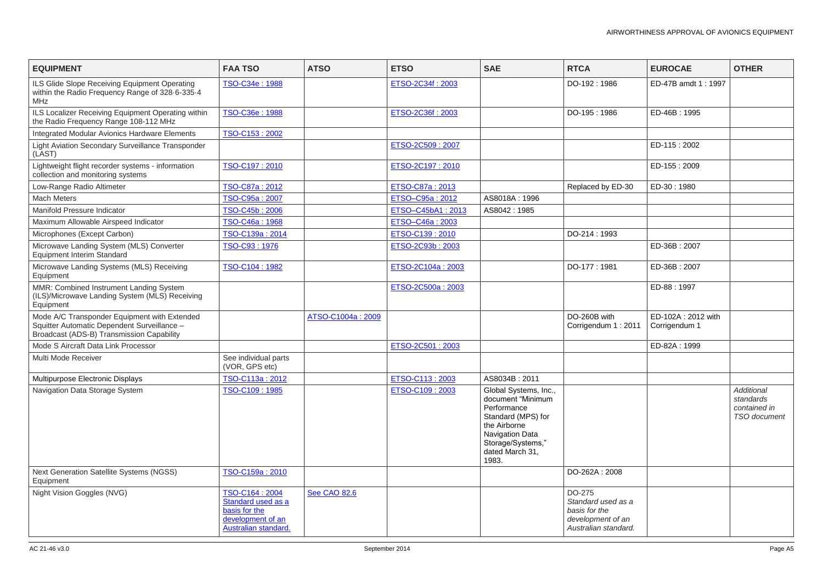| <b>EQUIPMENT</b>                                                                                                                         | <b>FAA TSO</b>                                                                                            | <b>ATSO</b>         | <b>ETSO</b>       | <b>SAE</b>                                                                                                                                                                 | <b>RTCA</b>                                                                                | <b>EUROCAE</b>                      | <b>OTHER</b>                                      |
|------------------------------------------------------------------------------------------------------------------------------------------|-----------------------------------------------------------------------------------------------------------|---------------------|-------------------|----------------------------------------------------------------------------------------------------------------------------------------------------------------------------|--------------------------------------------------------------------------------------------|-------------------------------------|---------------------------------------------------|
| ILS Glide Slope Receiving Equipment Operating<br>within the Radio Frequency Range of 328-6-335-4<br><b>MHz</b>                           | TSO-C34e: 1988                                                                                            |                     | ETSO-2C34f: 2003  |                                                                                                                                                                            | DO-192: 1986                                                                               | ED-47B amdt 1: 1997                 |                                                   |
| ILS Localizer Receiving Equipment Operating within<br>the Radio Frequency Range 108-112 MHz                                              | TSO-C36e: 1988                                                                                            |                     | ETSO-2C36f: 2003  |                                                                                                                                                                            | DO-195:1986                                                                                | ED-46B: 1995                        |                                                   |
| <b>Integrated Modular Avionics Hardware Elements</b>                                                                                     | TSO-C153: 2002                                                                                            |                     |                   |                                                                                                                                                                            |                                                                                            |                                     |                                                   |
| Light Aviation Secondary Surveillance Transponder<br>(LAST)                                                                              |                                                                                                           |                     | ETSO-2C509: 2007  |                                                                                                                                                                            |                                                                                            | ED-115:2002                         |                                                   |
| Lightweight flight recorder systems - information<br>collection and monitoring systems                                                   | TSO-C197: 2010                                                                                            |                     | ETSO-2C197 : 2010 |                                                                                                                                                                            |                                                                                            | ED-155: 2009                        |                                                   |
| Low-Range Radio Altimeter                                                                                                                | TSO-C87a: 2012                                                                                            |                     | ETSO-C87a: 2013   |                                                                                                                                                                            | Replaced by ED-30                                                                          | ED-30:1980                          |                                                   |
| <b>Mach Meters</b>                                                                                                                       | TSO-C95a: 2007                                                                                            |                     | ETSO-C95a: 2012   | AS8018A: 1996                                                                                                                                                              |                                                                                            |                                     |                                                   |
| Manifold Pressure Indicator                                                                                                              | TSO-C45b: 2006                                                                                            |                     | ETSO-C45bA1: 2013 | AS8042:1985                                                                                                                                                                |                                                                                            |                                     |                                                   |
| Maximum Allowable Airspeed Indicator                                                                                                     | TSO-C46a: 1968                                                                                            |                     | ETSO-C46a: 2003   |                                                                                                                                                                            |                                                                                            |                                     |                                                   |
| Microphones (Except Carbon)                                                                                                              | TSO-C139a: 2014                                                                                           |                     | ETSO-C139: 2010   |                                                                                                                                                                            | DO-214: 1993                                                                               |                                     |                                                   |
| Microwave Landing System (MLS) Converter<br><b>Equipment Interim Standard</b>                                                            | TSO-C93: 1976                                                                                             |                     | ETSO-2C93b: 2003  |                                                                                                                                                                            |                                                                                            | ED-36B: 2007                        |                                                   |
| Microwave Landing Systems (MLS) Receiving<br>Equipment                                                                                   | TSO-C104: 1982                                                                                            |                     | ETSO-2C104a: 2003 |                                                                                                                                                                            | DO-177: 1981                                                                               | ED-36B: 2007                        |                                                   |
| MMR: Combined Instrument Landing System<br>(ILS)/Microwave Landing System (MLS) Receiving<br>Equipment                                   |                                                                                                           |                     | ETSO-2C500a: 2003 |                                                                                                                                                                            |                                                                                            | ED-88:1997                          |                                                   |
| Mode A/C Transponder Equipment with Extended<br>Squitter Automatic Dependent Surveillance -<br>Broadcast (ADS-B) Transmission Capability |                                                                                                           | ATSO-C1004a: 2009   |                   |                                                                                                                                                                            | DO-260B with<br>Corrigendum 1: 2011                                                        | ED-102A: 2012 with<br>Corrigendum 1 |                                                   |
| Mode S Aircraft Data Link Processor                                                                                                      |                                                                                                           |                     | ETSO-2C501: 2003  |                                                                                                                                                                            |                                                                                            | ED-82A: 1999                        |                                                   |
| Multi Mode Receiver                                                                                                                      | See individual parts<br>(VOR, GPS etc)                                                                    |                     |                   |                                                                                                                                                                            |                                                                                            |                                     |                                                   |
| Multipurpose Electronic Displays                                                                                                         | TSO-C113a: 2012                                                                                           |                     | ETSO-C113: 2003   | AS8034B: 2011                                                                                                                                                              |                                                                                            |                                     |                                                   |
| Navigation Data Storage System                                                                                                           | TSO-C109: 1985                                                                                            |                     | ETSO-C109: 2003   | Global Systems, Inc.,<br>document "Minimum<br>Performance<br>Standard (MPS) for<br>the Airborne<br><b>Navigation Data</b><br>Storage/Systems,"<br>dated March 31,<br>1983. |                                                                                            |                                     | <b>Addition</b><br>standard<br>containe<br>TSO do |
| <b>Next Generation Satellite Systems (NGSS)</b><br>Equipment                                                                             | TSO-C159a: 2010                                                                                           |                     |                   |                                                                                                                                                                            | DO-262A: 2008                                                                              |                                     |                                                   |
| Night Vision Goggles (NVG)                                                                                                               | TSO-C164: 2004<br><b>Standard used as a</b><br>basis for the<br>development of an<br>Australian standard. | <b>See CAO 82.6</b> |                   |                                                                                                                                                                            | DO-275<br>Standard used as a<br>basis for the<br>development of an<br>Australian standard. |                                     |                                                   |

|             | <b>EUROCAE</b>                      | <b>OTHER</b>                                                          |
|-------------|-------------------------------------|-----------------------------------------------------------------------|
|             | ED-47B amdt 1: 1997                 |                                                                       |
|             | ED-46B: 1995                        |                                                                       |
|             | ED-115:2002                         |                                                                       |
|             | ED-155: 2009                        |                                                                       |
| $-30$       | ED-30:1980                          |                                                                       |
|             |                                     |                                                                       |
|             | ED-36B: 2007                        |                                                                       |
|             | ED-36B: 2007                        |                                                                       |
|             | ED-88: 1997                         |                                                                       |
| 2011        | ED-102A: 2012 with<br>Corrigendum 1 |                                                                       |
|             | ED-82A: 1999                        |                                                                       |
|             |                                     |                                                                       |
|             |                                     | <b>Additional</b><br>standards<br>contained in<br><b>TSO</b> document |
|             |                                     |                                                                       |
| าร a        |                                     |                                                                       |
| an<br>lard. |                                     |                                                                       |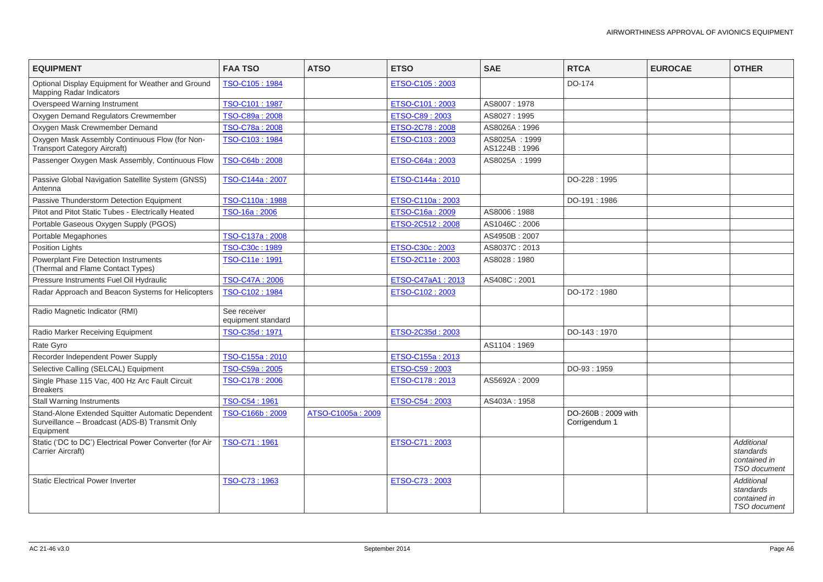| <b>EQUIPMENT</b>                                                                                                 | <b>FAA TSO</b>                     | <b>ATSO</b>       | <b>ETSO</b>       | <b>SAE</b>                     | <b>RTCA</b>                         | <b>EUROCAE</b> | <b>OTHER</b>                                                   |
|------------------------------------------------------------------------------------------------------------------|------------------------------------|-------------------|-------------------|--------------------------------|-------------------------------------|----------------|----------------------------------------------------------------|
| Optional Display Equipment for Weather and Ground<br><b>Mapping Radar Indicators</b>                             | TSO-C105:1984                      |                   | ETSO-C105 : 2003  |                                | DO-174                              |                |                                                                |
| Overspeed Warning Instrument                                                                                     | TSO-C101:1987                      |                   | ETSO-C101: 2003   | AS8007: 1978                   |                                     |                |                                                                |
| Oxygen Demand Regulators Crewmember                                                                              | TSO-C89a: 2008                     |                   | ETSO-C89: 2003    | AS8027: 1995                   |                                     |                |                                                                |
| Oxygen Mask Crewmember Demand                                                                                    | TSO-C78a: 2008                     |                   | ETSO-2C78: 2008   | AS8026A: 1996                  |                                     |                |                                                                |
| Oxygen Mask Assembly Continuous Flow (for Non-<br><b>Transport Category Aircraft)</b>                            | TSO-C103:1984                      |                   | ETSO-C103: 2003   | AS8025A: 1999<br>AS1224B: 1996 |                                     |                |                                                                |
| Passenger Oxygen Mask Assembly, Continuous Flow                                                                  | TSO-C64b: 2008                     |                   | ETSO-C64a: 2003   | AS8025A: 1999                  |                                     |                |                                                                |
| Passive Global Navigation Satellite System (GNSS)<br>Antenna                                                     | TSO-C144a: 2007                    |                   | ETSO-C144a: 2010  |                                | DO-228:1995                         |                |                                                                |
| Passive Thunderstorm Detection Equipment                                                                         | TSO-C110a: 1988                    |                   | ETSO-C110a: 2003  |                                | DO-191:1986                         |                |                                                                |
| Pitot and Pitot Static Tubes - Electrically Heated                                                               | TSO-16a: 2006                      |                   | ETSO-C16a: 2009   | AS8006: 1988                   |                                     |                |                                                                |
| Portable Gaseous Oxygen Supply (PGOS)                                                                            |                                    |                   | ETSO-2C512: 2008  | AS1046C: 2006                  |                                     |                |                                                                |
| Portable Megaphones                                                                                              | TSO-C137a: 2008                    |                   |                   | AS4950B: 2007                  |                                     |                |                                                                |
| <b>Position Lights</b>                                                                                           | TSO-C30c: 1989                     |                   | ETSO-C30c: 2003   | AS8037C: 2013                  |                                     |                |                                                                |
| <b>Powerplant Fire Detection Instruments</b><br>(Thermal and Flame Contact Types)                                | TSO-C11e: 1991                     |                   | ETSO-2C11e: 2003  | AS8028:1980                    |                                     |                |                                                                |
| Pressure Instruments Fuel Oil Hydraulic                                                                          | TSO-C47A: 2006                     |                   | ETSO-C47aA1: 2013 | AS408C: 2001                   |                                     |                |                                                                |
| Radar Approach and Beacon Systems for Helicopters                                                                | TSO-C102: 1984                     |                   | ETSO-C102: 2003   |                                | DO-172:1980                         |                |                                                                |
| Radio Magnetic Indicator (RMI)                                                                                   | See receiver<br>equipment standard |                   |                   |                                |                                     |                |                                                                |
| Radio Marker Receiving Equipment                                                                                 | TSO-C35d: 1971                     |                   | ETSO-2C35d: 2003  |                                | DO-143: 1970                        |                |                                                                |
| Rate Gyro                                                                                                        |                                    |                   |                   | AS1104:1969                    |                                     |                |                                                                |
| Recorder Independent Power Supply                                                                                | TSO-C155a: 2010                    |                   | ETSO-C155a: 2013  |                                |                                     |                |                                                                |
| Selective Calling (SELCAL) Equipment                                                                             | TSO-C59a: 2005                     |                   | ETSO-C59: 2003    |                                | DO-93:1959                          |                |                                                                |
| Single Phase 115 Vac, 400 Hz Arc Fault Circuit<br><b>Breakers</b>                                                | TSO-C178: 2006                     |                   | ETSO-C178: 2013   | AS5692A: 2009                  |                                     |                |                                                                |
| <b>Stall Warning Instruments</b>                                                                                 | TSO-C54: 1961                      |                   | ETSO-C54: 2003    | AS403A: 1958                   |                                     |                |                                                                |
| Stand-Alone Extended Squitter Automatic Dependent<br>Surveillance - Broadcast (ADS-B) Transmit Only<br>Equipment | TSO-C166b: 2009                    | ATSO-C1005a: 2009 |                   |                                | DO-260B: 2009 with<br>Corrigendum 1 |                |                                                                |
| Static ('DC to DC') Electrical Power Converter (for Air<br>Carrier Aircraft)                                     | TSO-C71:1961                       |                   | ETSO-C71: 2003    |                                |                                     |                | <b>Additional</b><br>standards<br>contained in<br>TSO document |
| <b>Static Electrical Power Inverter</b>                                                                          | TSO-C73: 1963                      |                   | ETSO-C73: 2003    |                                |                                     |                | Additional<br>standards<br>contained in<br><b>TSO</b> document |